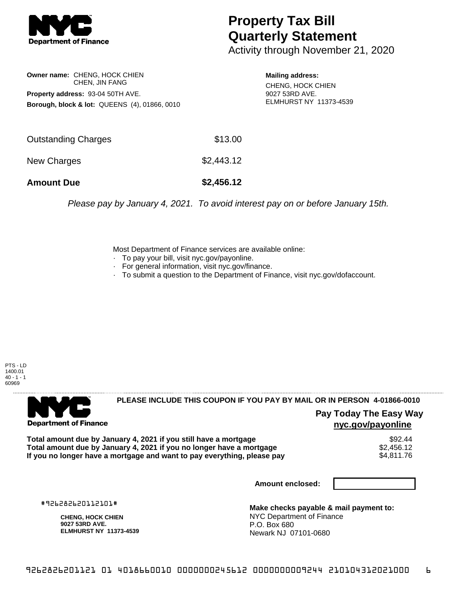

## **Property Tax Bill Quarterly Statement**

Activity through November 21, 2020

**Owner name:** CHENG, HOCK CHIEN CHEN, JIN FANG **Property address:** 93-04 50TH AVE. **Borough, block & lot:** QUEENS (4), 01866, 0010

**Mailing address:** CHENG, HOCK CHIEN 9027 53RD AVE. ELMHURST NY 11373-4539

| <b>Amount Due</b>   | \$2,456.12 |
|---------------------|------------|
| New Charges         | \$2,443.12 |
| Outstanding Charges | \$13.00    |

Please pay by January 4, 2021. To avoid interest pay on or before January 15th.

Most Department of Finance services are available online:

- · To pay your bill, visit nyc.gov/payonline.
- For general information, visit nyc.gov/finance.
- · To submit a question to the Department of Finance, visit nyc.gov/dofaccount.

PTS - LD 1400.01  $40 - 1 - 1$ 60969



## **PLEASE INCLUDE THIS COUPON IF YOU PAY BY MAIL OR IN PERSON 4-01866-0010**

**Pay Today The Easy Way nyc.gov/payonline**

**Total amount due by January 4, 2021 if you still have a mortgage** \$92.44 **Total amount due by January 4, 2021 if you no longer have a mortgage**  $$2,456.12$$ **<br>If you no longer have a mortgage and want to pay everything, please pay**  $$4,811.76$$ If you no longer have a mortgage and want to pay everything, please pay

**Amount enclosed:**

#926282620112101#

**CHENG, HOCK CHIEN 9027 53RD AVE. ELMHURST NY 11373-4539**

**Make checks payable & mail payment to:** NYC Department of Finance P.O. Box 680 Newark NJ 07101-0680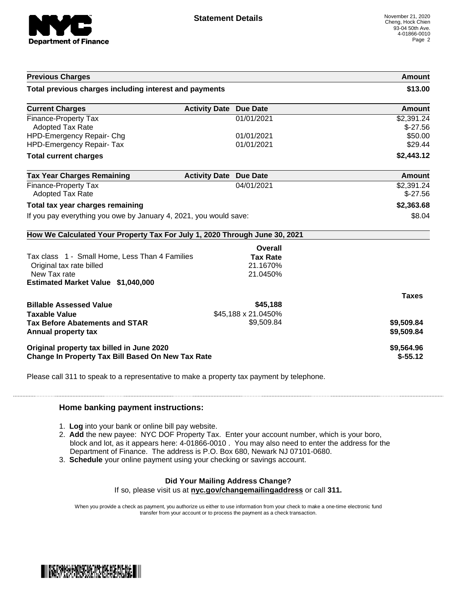

| <b>Previous Charges</b>                                                                        |                               |                          | Amount                   |
|------------------------------------------------------------------------------------------------|-------------------------------|--------------------------|--------------------------|
| Total previous charges including interest and payments                                         |                               |                          | \$13.00                  |
| <b>Current Charges</b>                                                                         | <b>Activity Date Due Date</b> |                          | Amount                   |
| <b>Finance-Property Tax</b><br><b>Adopted Tax Rate</b>                                         |                               | 01/01/2021               | \$2,391.24<br>$$-27.56$  |
| HPD-Emergency Repair- Chg<br><b>HPD-Emergency Repair- Tax</b>                                  |                               | 01/01/2021<br>01/01/2021 | \$50.00<br>\$29.44       |
| <b>Total current charges</b>                                                                   |                               |                          | \$2,443.12               |
| <b>Tax Year Charges Remaining</b>                                                              | <b>Activity Date Due Date</b> |                          | <b>Amount</b>            |
| <b>Finance-Property Tax</b><br><b>Adopted Tax Rate</b>                                         |                               | 04/01/2021               | \$2,391.24<br>$$-27.56$  |
| Total tax year charges remaining                                                               |                               |                          | \$2,363.68               |
| If you pay everything you owe by January 4, 2021, you would save:                              |                               | \$8.04                   |                          |
| How We Calculated Your Property Tax For July 1, 2020 Through June 30, 2021                     |                               |                          |                          |
|                                                                                                |                               | Overall                  |                          |
| Tax class 1 - Small Home, Less Than 4 Families                                                 |                               | <b>Tax Rate</b>          |                          |
| Original tax rate billed                                                                       |                               | 21.1670%                 |                          |
| New Tax rate<br><b>Estimated Market Value \$1,040,000</b>                                      |                               | 21.0450%                 |                          |
|                                                                                                |                               |                          | <b>Taxes</b>             |
| <b>Billable Assessed Value</b>                                                                 |                               | \$45,188                 |                          |
| <b>Taxable Value</b>                                                                           |                               | \$45,188 x 21.0450%      |                          |
| <b>Tax Before Abatements and STAR</b><br>Annual property tax                                   |                               | \$9,509.84               | \$9,509.84<br>\$9,509.84 |
| Original property tax billed in June 2020<br>Change In Property Tax Bill Based On New Tax Rate |                               |                          | \$9,564.96<br>$$-55.12$  |

Please call 311 to speak to a representative to make a property tax payment by telephone.

## **Home banking payment instructions:**

- 1. **Log** into your bank or online bill pay website.
- 2. **Add** the new payee: NYC DOF Property Tax. Enter your account number, which is your boro, block and lot, as it appears here: 4-01866-0010 . You may also need to enter the address for the Department of Finance. The address is P.O. Box 680, Newark NJ 07101-0680.
- 3. **Schedule** your online payment using your checking or savings account.

## **Did Your Mailing Address Change?**

If so, please visit us at **nyc.gov/changemailingaddress** or call **311.**

When you provide a check as payment, you authorize us either to use information from your check to make a one-time electronic fund transfer from your account or to process the payment as a check transaction.